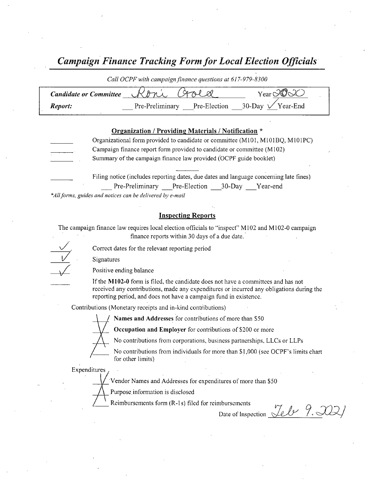Campaign Finance Tracking Form for Local Election Officials

| Call OCPF with campaign finance questions at 61/-9/9-8300 |                                                         |                                           |  |  |
|-----------------------------------------------------------|---------------------------------------------------------|-------------------------------------------|--|--|
| <b>Candidate or Committee</b>                             | $K$ <i>rn's</i>                                         | $Year$ $\partial$ $\odot$ $\circ$ $\circ$ |  |  |
| Report:                                                   | Pre-Preliminary Pre-Election 30-Day $\sqrt{Y}$ Year-End |                                           |  |  |

#### Organization / Providing Materials / Notification \*

Organizational form provided to candidate or committee (M101, M101BO, M101PC) Campaign finance report form provided to candidate or committee ( M 102) Summary of the campaign finance law provided (OCPF guide booklet)

Filing notice (includes reporting dates, due dates and language concerning late fines) Pre-Preliminary Pre-Election 30-Day Year-end \*All forms, guides and notices can be delivered by e-mail

Inspecting Reports

The campaign finance law requires local election officials to "inspect" M102 and M102-0 campaign finance reports within 30 days of <sup>a</sup> due date.

Correct dates for the relevant reporting period

Signatures

Positive ending balance

If the M102-0 form is filed, the candidate does not have a committees and has not received any contributions, made any expenditures or incurred any obligations during the reporting period, and does not have a campaign fund in existence.

Contributions ( Monetary receipts and in- kind contributions)

Names and Addresses for contributions of more than S50

Occupation and Employer for contributions of \$200 or more

No contributions from corporations, business partnerships, LLCs or LLPs

No contributions from individuals for more than \$1,000 (see OCPF's limits chart for other limits)

**Expenditures** 

Vendor Names and Addresses for expenditures of more than \$50

Purpose. information is disclosed

Reimbursements form (R-1s) filed for reimbursements

Date of Inspection  $\mathcal{L}\ell\mathcal{L}$   $\mathcal{P}.\mathcal{Q}$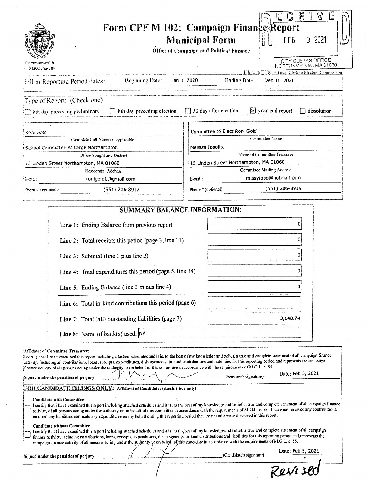|                                   |                                                                                                                                                                                                                                                                                                                                                                                                                                                                                                                                                                                                                                                                                                                                                                                                                                                                                                                                                                                                                                                                                  |                                                                  | W<br>旧<br>旨<br>$\mathbb{G}$<br>문                     |
|-----------------------------------|----------------------------------------------------------------------------------------------------------------------------------------------------------------------------------------------------------------------------------------------------------------------------------------------------------------------------------------------------------------------------------------------------------------------------------------------------------------------------------------------------------------------------------------------------------------------------------------------------------------------------------------------------------------------------------------------------------------------------------------------------------------------------------------------------------------------------------------------------------------------------------------------------------------------------------------------------------------------------------------------------------------------------------------------------------------------------------|------------------------------------------------------------------|------------------------------------------------------|
|                                   |                                                                                                                                                                                                                                                                                                                                                                                                                                                                                                                                                                                                                                                                                                                                                                                                                                                                                                                                                                                                                                                                                  | Form CPF M 102: Campaign Finance Report<br><b>Municipal Form</b> | 9 2021<br>FEB                                        |
|                                   |                                                                                                                                                                                                                                                                                                                                                                                                                                                                                                                                                                                                                                                                                                                                                                                                                                                                                                                                                                                                                                                                                  | Office of Campaign and Political Finance                         |                                                      |
|                                   |                                                                                                                                                                                                                                                                                                                                                                                                                                                                                                                                                                                                                                                                                                                                                                                                                                                                                                                                                                                                                                                                                  |                                                                  | CITY CLERKS OFFICE                                   |
| Corymonwealth<br>of Massachusetts |                                                                                                                                                                                                                                                                                                                                                                                                                                                                                                                                                                                                                                                                                                                                                                                                                                                                                                                                                                                                                                                                                  |                                                                  | NORTHAMPTON, MA 01060                                |
|                                   |                                                                                                                                                                                                                                                                                                                                                                                                                                                                                                                                                                                                                                                                                                                                                                                                                                                                                                                                                                                                                                                                                  |                                                                  | File with: City or Town Clerk or Election Commission |
|                                   | Fill in Reporting Period dates: Reginning Date:                                                                                                                                                                                                                                                                                                                                                                                                                                                                                                                                                                                                                                                                                                                                                                                                                                                                                                                                                                                                                                  | <b>Ending Date:</b><br>Jan 1, 2020                               | Dec 31, 2020                                         |
|                                   | Type of Report: (Check one)                                                                                                                                                                                                                                                                                                                                                                                                                                                                                                                                                                                                                                                                                                                                                                                                                                                                                                                                                                                                                                                      |                                                                  |                                                      |
|                                   | $\Box$ Sth day preceding preliminary $\Box$ Sth day preceding election $\Box$ 30 day after election                                                                                                                                                                                                                                                                                                                                                                                                                                                                                                                                                                                                                                                                                                                                                                                                                                                                                                                                                                              | $X$ year-end report                                              | $\Box$ dissolution                                   |
| Roni Gold                         |                                                                                                                                                                                                                                                                                                                                                                                                                                                                                                                                                                                                                                                                                                                                                                                                                                                                                                                                                                                                                                                                                  | Committee to Elect Roni Gold                                     |                                                      |
|                                   | Candidate Full Name (if applicable).                                                                                                                                                                                                                                                                                                                                                                                                                                                                                                                                                                                                                                                                                                                                                                                                                                                                                                                                                                                                                                             | Committee Name                                                   |                                                      |
|                                   | School Committee At Large Northampton                                                                                                                                                                                                                                                                                                                                                                                                                                                                                                                                                                                                                                                                                                                                                                                                                                                                                                                                                                                                                                            | Melissa Ippolito                                                 |                                                      |
|                                   | Office Sought and District                                                                                                                                                                                                                                                                                                                                                                                                                                                                                                                                                                                                                                                                                                                                                                                                                                                                                                                                                                                                                                                       | Name of Committee Treasurer                                      |                                                      |
|                                   | 15 Linden Street Northampton, MA 01060                                                                                                                                                                                                                                                                                                                                                                                                                                                                                                                                                                                                                                                                                                                                                                                                                                                                                                                                                                                                                                           | 15 Linden Street Northampton, MA 01060                           |                                                      |
|                                   | Residential Address                                                                                                                                                                                                                                                                                                                                                                                                                                                                                                                                                                                                                                                                                                                                                                                                                                                                                                                                                                                                                                                              | <b>Committee Mailing Address</b>                                 | missyippo@hotmail.com                                |
| ∤E-mail:                          | ronigold1@gmail.com                                                                                                                                                                                                                                                                                                                                                                                                                                                                                                                                                                                                                                                                                                                                                                                                                                                                                                                                                                                                                                                              | E-mail:                                                          |                                                      |
| Fhone 2 (optional):               | (551) 206-8917                                                                                                                                                                                                                                                                                                                                                                                                                                                                                                                                                                                                                                                                                                                                                                                                                                                                                                                                                                                                                                                                   | Phone $\#$ (optional):                                           | (551) 206-8919                                       |
|                                   | SUMMARY BALANCE INFORMATION:                                                                                                                                                                                                                                                                                                                                                                                                                                                                                                                                                                                                                                                                                                                                                                                                                                                                                                                                                                                                                                                     |                                                                  |                                                      |
|                                   | Line 1: Ending Balance from previous report<br>Line 2: Total receipts this period (page 3, line 11)                                                                                                                                                                                                                                                                                                                                                                                                                                                                                                                                                                                                                                                                                                                                                                                                                                                                                                                                                                              |                                                                  | o                                                    |
|                                   | Line 3: Subtotal (line 1 plus line 2)                                                                                                                                                                                                                                                                                                                                                                                                                                                                                                                                                                                                                                                                                                                                                                                                                                                                                                                                                                                                                                            |                                                                  |                                                      |
|                                   | Line 4: Total expenditures this period (page 5, line 14)                                                                                                                                                                                                                                                                                                                                                                                                                                                                                                                                                                                                                                                                                                                                                                                                                                                                                                                                                                                                                         |                                                                  | 0                                                    |
|                                   | Line 5: Ending Balance (line 3 minus line 4)                                                                                                                                                                                                                                                                                                                                                                                                                                                                                                                                                                                                                                                                                                                                                                                                                                                                                                                                                                                                                                     |                                                                  |                                                      |
|                                   | Line 6: Total in-kind contributions this period (page 6)                                                                                                                                                                                                                                                                                                                                                                                                                                                                                                                                                                                                                                                                                                                                                                                                                                                                                                                                                                                                                         |                                                                  |                                                      |
|                                   | Line 7: Total (all) outstanding liabilities (page 7)                                                                                                                                                                                                                                                                                                                                                                                                                                                                                                                                                                                                                                                                                                                                                                                                                                                                                                                                                                                                                             |                                                                  | 3,148.74                                             |
|                                   | Line 8: Name of bank(s) used: $ NA $                                                                                                                                                                                                                                                                                                                                                                                                                                                                                                                                                                                                                                                                                                                                                                                                                                                                                                                                                                                                                                             |                                                                  |                                                      |
|                                   | Affidavit of Committee Treasurer:<br>If certify that I have examined this report including attached schedules and it is, to the best of my knowledge and belief, a true and complete statement of all campaign finance<br>activity, including all contributions, loans, receipts, expenditures, disbursements, in-kind contributions and liabilities for this reporting period and represents the campaign<br>Inance activity of all persons acting under the authority or on behalf of this committee in accordance with the requirements of M.G.L. c. 55.<br>Signed under the penalties of perjury:<br>FOR CANDIDATE FILINGS QNLY: Affidavit of Candidate: (check 1 box only)<br>Candidate with Committee<br>I certify that I have examined this report including attached schedules and it is, to the best of my knowledge and belief, a true and complete statement of all campaign finance<br>activity, of all persons acting under the authority or on behalf of this committee in accordance with the requirements of M.G.L. c. 55. Thave not received any contributions, | (Treasurer's signature)                                          | Date: Feb 5, 2021                                    |
|                                   | incurred any liabilities nor made any expenditures on my behalf during this reporting period that are not otherwise disclosed in this report.<br><b>Candidate without Committee</b><br>I certify that I have examined this report including attached schedules and it is, to the best of my knowledge and belief, a true and complete statement of all campaign                                                                                                                                                                                                                                                                                                                                                                                                                                                                                                                                                                                                                                                                                                                  |                                                                  |                                                      |
|                                   | finance activity, including contributions, loans, receipts, expenditures, disburseptients, in-kind contributions and liabilities for this reporting period and represents the<br>campaign finance activity of all persons acting under the authority or on behalf of this candidate in accordance with the requirements of M.G.L. c. 55.                                                                                                                                                                                                                                                                                                                                                                                                                                                                                                                                                                                                                                                                                                                                         |                                                                  |                                                      |
|                                   | Signed under the penaltics of perjury:                                                                                                                                                                                                                                                                                                                                                                                                                                                                                                                                                                                                                                                                                                                                                                                                                                                                                                                                                                                                                                           | (Candidate's signature)                                          | Date: Feb 5, 2021<br>Reviser                         |

 $\bar{\mathcal{A}}$ 

 $\sim$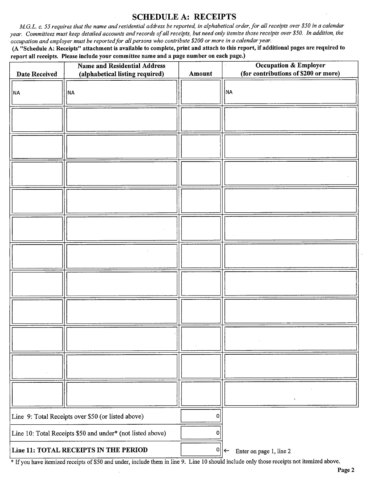#### SCHEDULE A: RECEIPTS

M.G.L. c. 55 requires that the name and residential address be reported, in alphabetical order, for all receipts over \$50 in a calendar year. Committees must keep detailed accounts and records of all receipts, but need only itemize those receipts over \$50. In addition, the occupation and employer must be reported for all persons who contribute\$ 200 or more in <sup>a</sup> calendar year.

A" Schedule A: Receipts" attachment is available to complete, print and attach to this report, if additional pages are required to report all receipts. Please include your committee name and a page number on each page.)

| <b>Date Received</b>                                       | <b>Name and Residential Address</b><br>(alphabetical listing required) | Amount      | <b>Occupation &amp; Employer</b><br>(for contributions of \$200 or more) |
|------------------------------------------------------------|------------------------------------------------------------------------|-------------|--------------------------------------------------------------------------|
| <b>NA</b>                                                  | <b>NA</b>                                                              |             | <b>NA</b>                                                                |
|                                                            |                                                                        |             |                                                                          |
|                                                            |                                                                        |             |                                                                          |
|                                                            |                                                                        |             |                                                                          |
|                                                            |                                                                        |             |                                                                          |
|                                                            |                                                                        |             |                                                                          |
|                                                            |                                                                        |             |                                                                          |
|                                                            |                                                                        |             |                                                                          |
|                                                            |                                                                        |             |                                                                          |
|                                                            |                                                                        |             |                                                                          |
|                                                            |                                                                        |             |                                                                          |
|                                                            |                                                                        |             | $\chi$                                                                   |
| Line 9: Total Receipts over \$50 (or listed above)         |                                                                        | 0           |                                                                          |
| Line 10: Total Receipts \$50 and under* (not listed above) |                                                                        | 0           |                                                                          |
|                                                            | Line 11: TOTAL RECEIPTS IN THE PERIOD                                  | $\mathbf 0$ | Enter on page 1, line 2<br>$\leftarrow$                                  |

If you have itemized receipts of \$50 and under, include them in line 9. Line 10 should include only those receipts not itemized above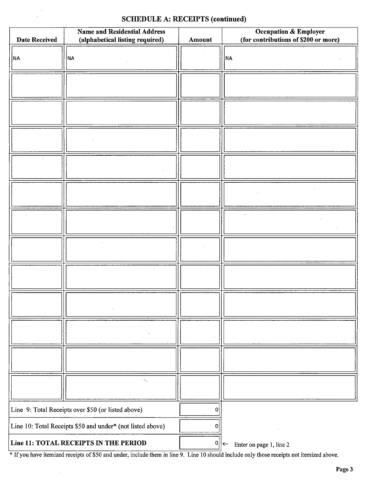## SCHEDULE A: RECEIPTS (continued)

 $\alpha$ 

| <b>Date Received</b>                                       | <b>Name and Residential Address</b><br>(alphabetical listing required) | Amount    | $\mathcal{L}$<br><b>Occupation &amp; Employer</b><br>(for contributions of \$200 or more) |
|------------------------------------------------------------|------------------------------------------------------------------------|-----------|-------------------------------------------------------------------------------------------|
| NA                                                         | NA                                                                     |           | <b>NA</b>                                                                                 |
|                                                            |                                                                        |           |                                                                                           |
|                                                            |                                                                        |           |                                                                                           |
|                                                            |                                                                        |           |                                                                                           |
|                                                            |                                                                        |           |                                                                                           |
|                                                            |                                                                        |           |                                                                                           |
|                                                            |                                                                        |           |                                                                                           |
|                                                            |                                                                        |           |                                                                                           |
|                                                            |                                                                        |           |                                                                                           |
|                                                            |                                                                        |           |                                                                                           |
|                                                            |                                                                        |           |                                                                                           |
|                                                            |                                                                        |           |                                                                                           |
|                                                            | N                                                                      |           |                                                                                           |
| Line 9: Total Receipts over \$50 (or listed above)         |                                                                        | $\pmb{0}$ |                                                                                           |
| Line 10: Total Receipts \$50 and under* (not listed above) |                                                                        | 0         |                                                                                           |
| Line 11: TOTAL RECEIPTS IN THE PERIOD                      |                                                                        |           | $0  \leftarrow$<br>Enter on page 1, line 2                                                |

<sup>\*</sup> If you have itemized receipts of \$50 and under, include them in line 9. Line 10 should include only those receipts not itemized above.

 $\hat{\boldsymbol{\beta}}$ 

 $\ddot{\phantom{a}}$ 

 $\bar{\mathcal{A}}$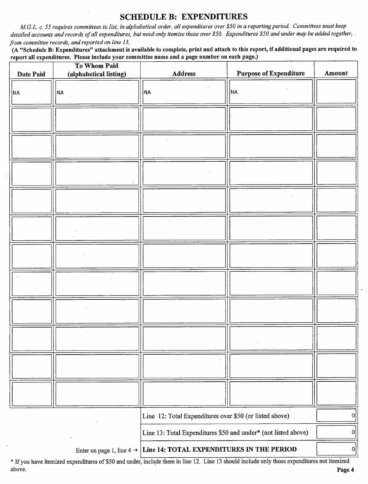#### SCHEDULE B: EXPENDITURES

M.G.L. c. 55 requires committees to list, in alphabetical order, all expenditures over\$ 50 in a reporting period. Committees must keep detailed accounts and records of all expenditures, but need only itemize those over \$50. Expenditures \$50 and under may be added together, from committee records, and reported on line 13.

A" Schedule B: Expenditures" attachment is available to complete, print and attach to this report, if additional pages are required to report all expenditures. Please include your committee name and a page number on each page.)

| Date Paid | To Whom Paid<br>(alphabetical listing) | <b>Address</b>                                                 | <b>Purpose of Expenditure</b> | Amount |
|-----------|----------------------------------------|----------------------------------------------------------------|-------------------------------|--------|
| ∣NA       | NA                                     | <b>NA</b>                                                      | NA                            |        |
|           |                                        |                                                                |                               |        |
|           |                                        |                                                                |                               |        |
|           |                                        |                                                                |                               |        |
|           |                                        |                                                                |                               |        |
|           |                                        |                                                                |                               |        |
|           |                                        |                                                                |                               |        |
|           |                                        |                                                                |                               |        |
|           |                                        |                                                                |                               |        |
|           |                                        |                                                                |                               |        |
|           |                                        |                                                                |                               |        |
|           |                                        |                                                                |                               |        |
|           |                                        | Line 12: Total Expenditures over \$50 (or listed above)        |                               | 0      |
|           |                                        | Line 13: Total Expenditures \$50 and under* (not listed above) |                               | 0      |
|           | Enter on page 1, line $4 \rightarrow$  | Line 14: TOTAL EXPENDITURES IN THE PERIOD                      |                               | 0      |

If you have itemized expenditures of\$ <sup>50</sup> and under, include them in line 12. Line <sup>13</sup> should include only those expenditures not itemized above. **Page 4** and the set of the set of the set of the set of the set of the set of the set of the set of the set of the set of the set of the set of the set of the set of the set of the set of the set of the set of the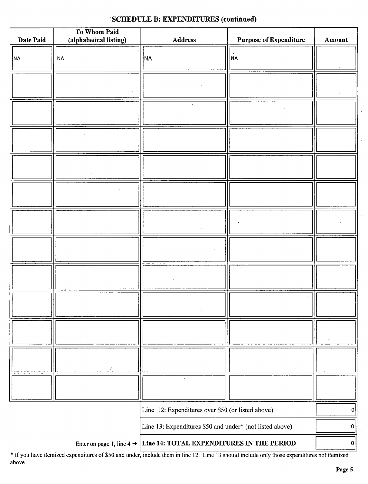### SCHEDULE B: EXPENDITURES (continued)

| Date Paid                                                                             | To Whom Paid<br>(alphabetical listing) | Address                                           | <b>Purpose of Expenditure</b> | Amount         |
|---------------------------------------------------------------------------------------|----------------------------------------|---------------------------------------------------|-------------------------------|----------------|
|                                                                                       |                                        |                                                   |                               |                |
| NA                                                                                    | <b>NA</b>                              | NA                                                | NA)                           |                |
|                                                                                       |                                        |                                                   |                               |                |
|                                                                                       |                                        |                                                   |                               |                |
|                                                                                       |                                        |                                                   |                               |                |
|                                                                                       |                                        |                                                   |                               |                |
|                                                                                       |                                        |                                                   |                               |                |
|                                                                                       |                                        |                                                   |                               |                |
|                                                                                       |                                        |                                                   |                               |                |
|                                                                                       |                                        |                                                   |                               |                |
|                                                                                       |                                        |                                                   |                               |                |
|                                                                                       |                                        |                                                   |                               |                |
|                                                                                       |                                        |                                                   |                               |                |
|                                                                                       |                                        |                                                   |                               |                |
|                                                                                       |                                        |                                                   |                               |                |
|                                                                                       |                                        |                                                   |                               |                |
|                                                                                       |                                        |                                                   |                               |                |
|                                                                                       |                                        |                                                   |                               |                |
|                                                                                       |                                        |                                                   |                               |                |
|                                                                                       |                                        |                                                   |                               |                |
|                                                                                       |                                        |                                                   |                               |                |
|                                                                                       |                                        |                                                   |                               |                |
|                                                                                       |                                        |                                                   |                               |                |
|                                                                                       |                                        |                                                   |                               |                |
|                                                                                       |                                        |                                                   |                               |                |
|                                                                                       |                                        |                                                   |                               |                |
|                                                                                       |                                        |                                                   |                               |                |
|                                                                                       |                                        |                                                   |                               |                |
|                                                                                       |                                        | Line 12: Expenditures over \$50 (or listed above) |                               | 0              |
|                                                                                       |                                        |                                                   |                               | $\overline{0}$ |
| Line 13: Expenditures \$50 and under* (not listed above)                              |                                        |                                                   |                               |                |
| Enter on page 1, line $4 \rightarrow$ Line 14: TOTAL EXPENDITURES IN THE PERIOD<br> 0 |                                        |                                                   |                               |                |

If you have itemized expenditures of\$ <sup>50</sup> and under, include them in line 12. Line <sup>13</sup> should include only those expenditures not itemized above.

ł,

 $\ddot{\phantom{0}}$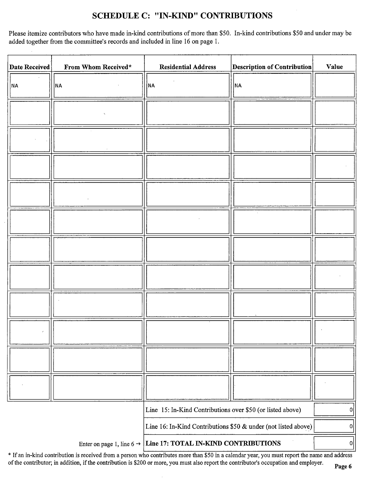## SCHEDULE C: " IN-KIND" CONTRIBUTIONS

Please itemize contributors who have made in-kind contributions of more than \$50. In-kind contributions \$50 and under may be added together from the committee's records and included in line 16 on page 1.

| <b>Date Received</b> | From Whom Received* | <b>Residential Address</b>                                                 | <b>Description of Contribution</b> | Value          |
|----------------------|---------------------|----------------------------------------------------------------------------|------------------------------------|----------------|
| ∣NA                  | <b>NA</b>           | NA                                                                         | <b>NA</b>                          |                |
|                      |                     |                                                                            |                                    |                |
|                      |                     |                                                                            |                                    |                |
|                      |                     |                                                                            |                                    |                |
|                      |                     |                                                                            |                                    |                |
|                      |                     |                                                                            |                                    |                |
|                      |                     |                                                                            |                                    |                |
|                      |                     |                                                                            |                                    |                |
|                      |                     |                                                                            |                                    |                |
|                      |                     |                                                                            |                                    |                |
|                      |                     |                                                                            |                                    |                |
|                      |                     |                                                                            |                                    |                |
|                      |                     | Line 15: In-Kind Contributions over \$50 (or listed above)                 |                                    | 이              |
|                      |                     | Line 16: In-Kind Contributions \$50 & under (not listed above)             |                                    | $\overline{0}$ |
|                      |                     | Enter on page 1, line $6 \rightarrow$ Line 17: TOTAL IN-KIND CONTRIBUTIONS |                                    | 0              |

\* If an in-kind contribution is received from a person who contributes more than \$50 in a calendar year, you must report the name and address of the contributor; in addition, if the contribution is \$200 or more, you must also report the contributor's occupation and employer.